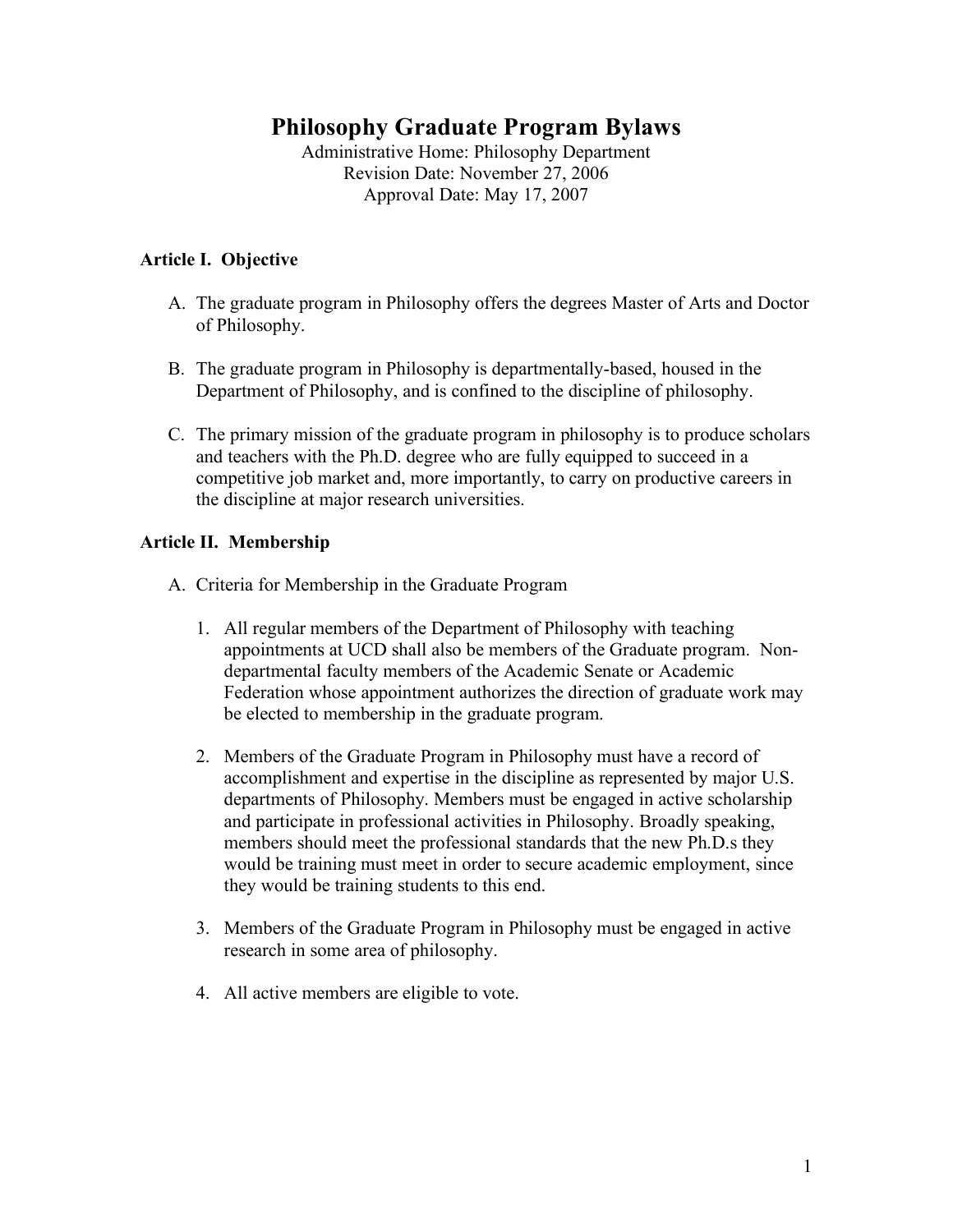# **Philosophy Graduate Program Bylaws**

Administrative Home: Philosophy Department Revision Date: November 27, 2006 Approval Date: May 17, 2007

# **Article I. Objective**

- A. The graduate program in Philosophy offers the degrees Master of Arts and Doctor of Philosophy.
- B. The graduate program in Philosophy is departmentally-based, housed in the Department of Philosophy, and is confined to the discipline of philosophy.
- C. The primary mission of the graduate program in philosophy is to produce scholars and teachers with the Ph.D. degree who are fully equipped to succeed in a competitive job market and, more importantly, to carry on productive careers in the discipline at major research universities.

# **Article II. Membership**

- A. Criteria for Membership in the Graduate Program
	- 1. All regular members of the Department of Philosophy with teaching appointments at UCD shall also be members of the Graduate program. Nondepartmental faculty members of the Academic Senate or Academic Federation whose appointment authorizes the direction of graduate work may be elected to membership in the graduate program.
	- 2. Members of the Graduate Program in Philosophy must have a record of accomplishment and expertise in the discipline as represented by major U.S. departments of Philosophy. Members must be engaged in active scholarship and participate in professional activities in Philosophy. Broadly speaking, members should meet the professional standards that the new Ph.D.s they would be training must meet in order to secure academic employment, since they would be training students to this end.
	- 3. Members of the Graduate Program in Philosophy must be engaged in active research in some area of philosophy.
	- 4. All active members are eligible to vote.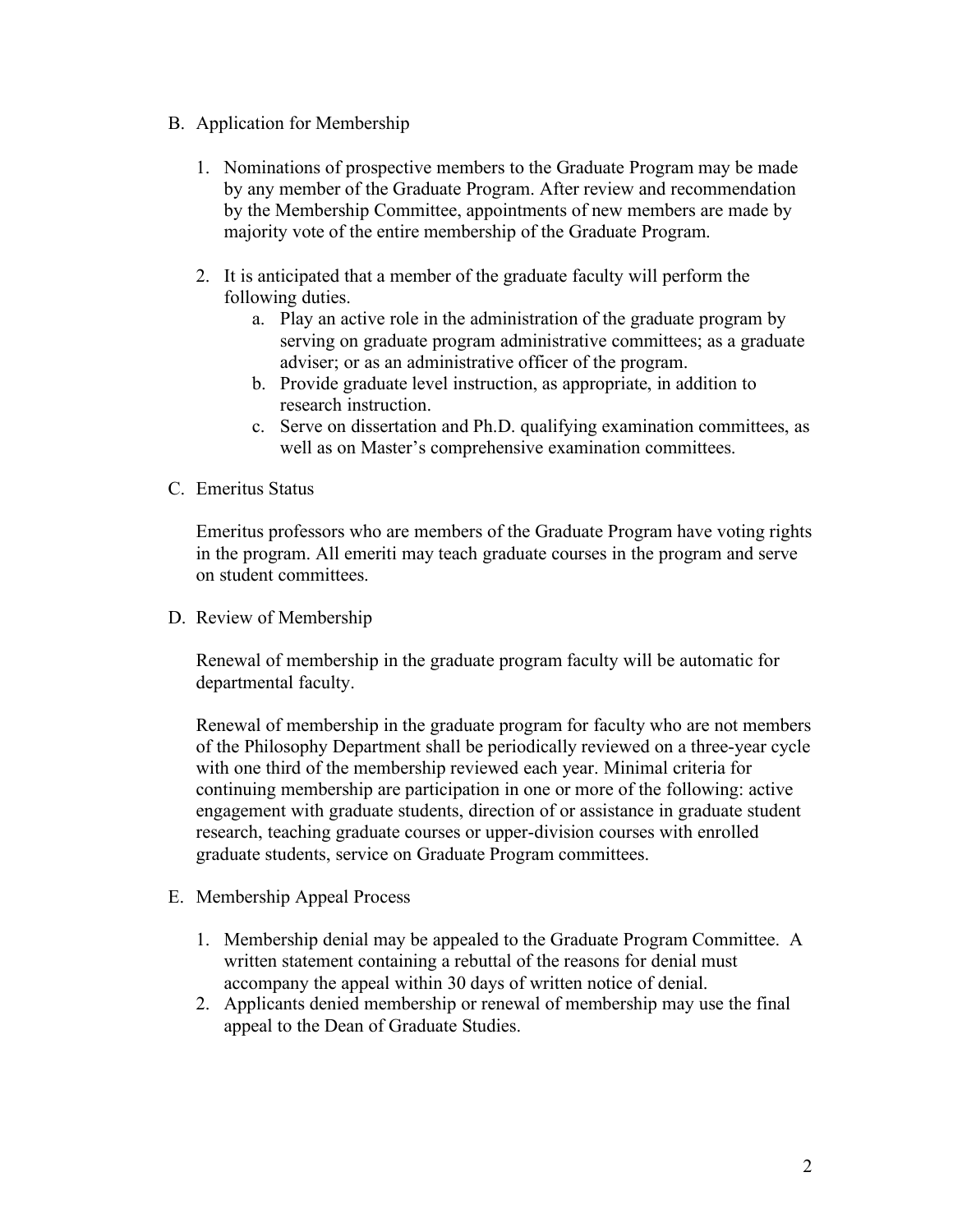- B. Application for Membership
	- 1. Nominations of prospective members to the Graduate Program may be made by any member of the Graduate Program. After review and recommendation by the Membership Committee, appointments of new members are made by majority vote of the entire membership of the Graduate Program.
	- 2. It is anticipated that a member of the graduate faculty will perform the following duties.
		- a. Play an active role in the administration of the graduate program by serving on graduate program administrative committees; as a graduate adviser; or as an administrative officer of the program.
		- b. Provide graduate level instruction, as appropriate, in addition to research instruction.
		- c. Serve on dissertation and Ph.D. qualifying examination committees, as well as on Master's comprehensive examination committees.
- C. Emeritus Status

Emeritus professors who are members of the Graduate Program have voting rights in the program. All emeriti may teach graduate courses in the program and serve on student committees.

D. Review of Membership

Renewal of membership in the graduate program faculty will be automatic for departmental faculty.

Renewal of membership in the graduate program for faculty who are not members of the Philosophy Department shall be periodically reviewed on a three-year cycle with one third of the membership reviewed each year. Minimal criteria for continuing membership are participation in one or more of the following: active engagement with graduate students, direction of or assistance in graduate student research, teaching graduate courses or upper-division courses with enrolled graduate students, service on Graduate Program committees.

- E. Membership Appeal Process
	- 1. Membership denial may be appealed to the Graduate Program Committee. A written statement containing a rebuttal of the reasons for denial must accompany the appeal within 30 days of written notice of denial.
	- 2. Applicants denied membership or renewal of membership may use the final appeal to the Dean of Graduate Studies.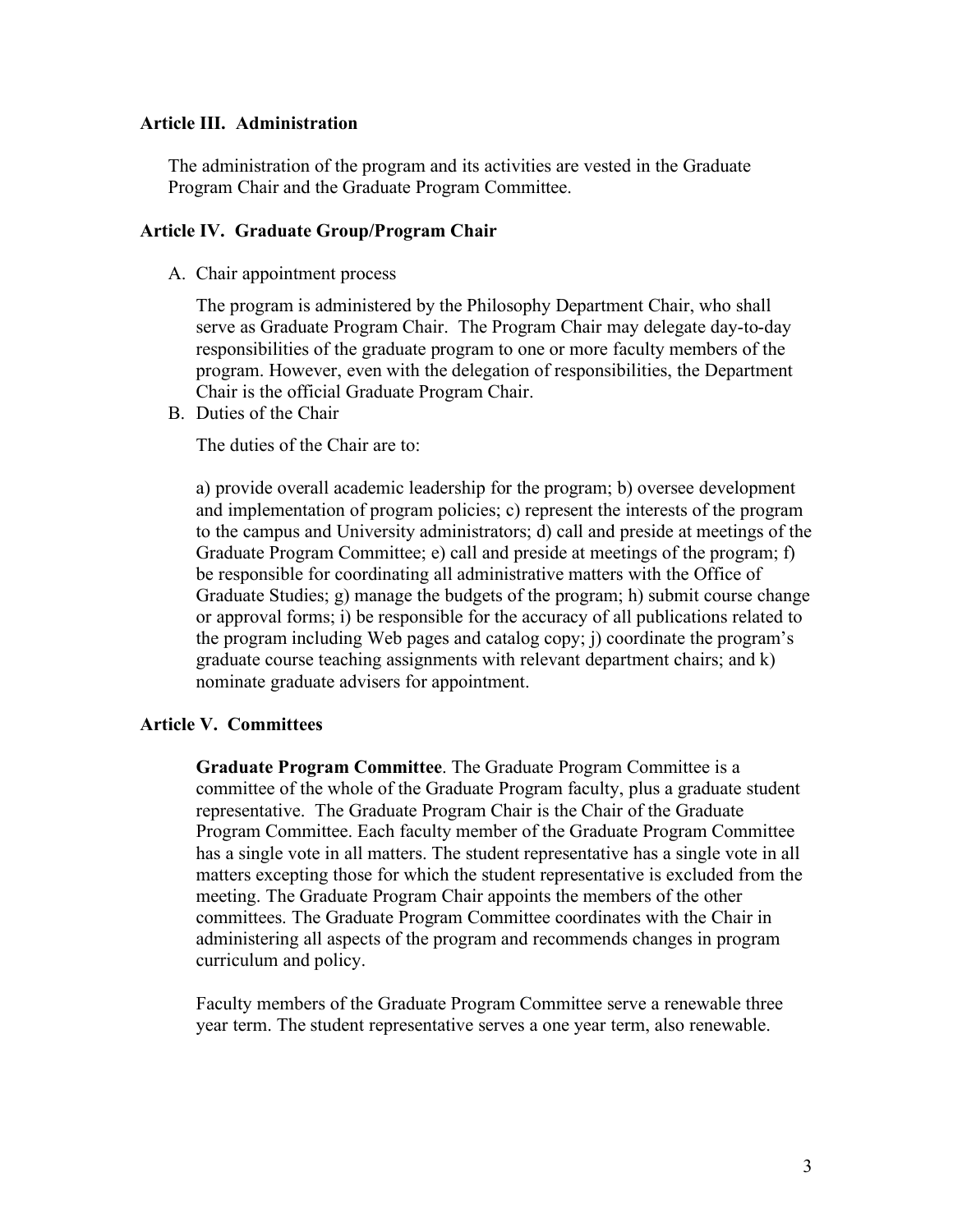#### **Article III. Administration**

The administration of the program and its activities are vested in the Graduate Program Chair and the Graduate Program Committee.

#### **Article IV. Graduate Group/Program Chair**

A. Chair appointment process

The program is administered by the Philosophy Department Chair, who shall serve as Graduate Program Chair. The Program Chair may delegate day-to-day responsibilities of the graduate program to one or more faculty members of the program. However, even with the delegation of responsibilities, the Department Chair is the official Graduate Program Chair.

B. Duties of the Chair

The duties of the Chair are to:

a) provide overall academic leadership for the program; b) oversee development and implementation of program policies; c) represent the interests of the program to the campus and University administrators; d) call and preside at meetings of the Graduate Program Committee; e) call and preside at meetings of the program; f) be responsible for coordinating all administrative matters with the Office of Graduate Studies; g) manage the budgets of the program; h) submit course change or approval forms; i) be responsible for the accuracy of all publications related to the program including Web pages and catalog copy; j) coordinate the program's graduate course teaching assignments with relevant department chairs; and k) nominate graduate advisers for appointment.

## **Article V. Committees**

**Graduate Program Committee**. The Graduate Program Committee is a committee of the whole of the Graduate Program faculty, plus a graduate student representative. The Graduate Program Chair is the Chair of the Graduate Program Committee. Each faculty member of the Graduate Program Committee has a single vote in all matters. The student representative has a single vote in all matters excepting those for which the student representative is excluded from the meeting. The Graduate Program Chair appoints the members of the other committees. The Graduate Program Committee coordinates with the Chair in administering all aspects of the program and recommends changes in program curriculum and policy.

Faculty members of the Graduate Program Committee serve a renewable three year term. The student representative serves a one year term, also renewable.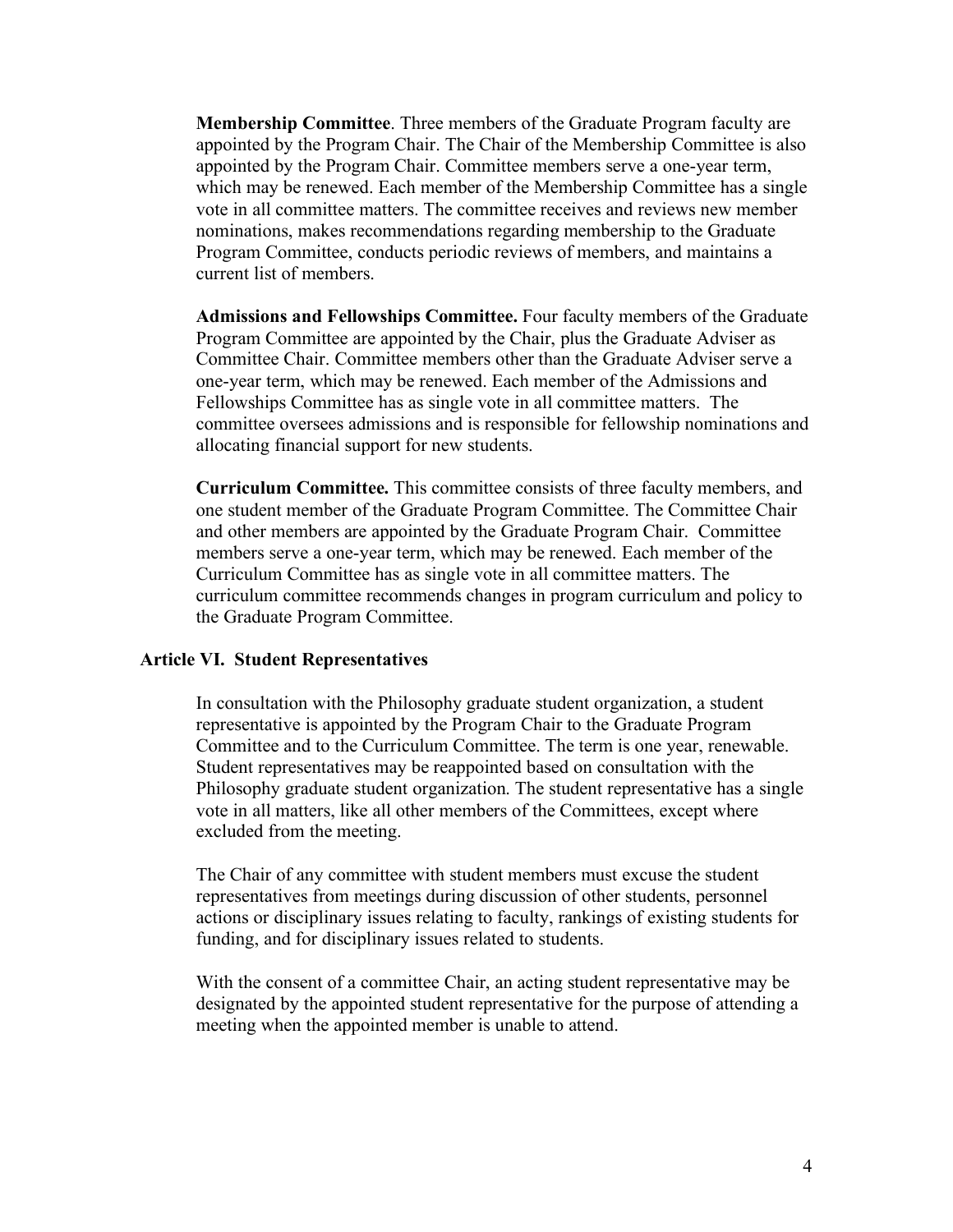**Membership Committee**. Three members of the Graduate Program faculty are appointed by the Program Chair. The Chair of the Membership Committee is also appointed by the Program Chair. Committee members serve a one-year term, which may be renewed. Each member of the Membership Committee has a single vote in all committee matters. The committee receives and reviews new member nominations, makes recommendations regarding membership to the Graduate Program Committee, conducts periodic reviews of members, and maintains a current list of members.

**Admissions and Fellowships Committee.** Four faculty members of the Graduate Program Committee are appointed by the Chair, plus the Graduate Adviser as Committee Chair. Committee members other than the Graduate Adviser serve a one-year term, which may be renewed. Each member of the Admissions and Fellowships Committee has as single vote in all committee matters. The committee oversees admissions and is responsible for fellowship nominations and allocating financial support for new students.

**Curriculum Committee.** This committee consists of three faculty members, and one student member of the Graduate Program Committee. The Committee Chair and other members are appointed by the Graduate Program Chair. Committee members serve a one-year term, which may be renewed. Each member of the Curriculum Committee has as single vote in all committee matters. The curriculum committee recommends changes in program curriculum and policy to the Graduate Program Committee.

#### **Article VI. Student Representatives**

In consultation with the Philosophy graduate student organization, a student representative is appointed by the Program Chair to the Graduate Program Committee and to the Curriculum Committee. The term is one year, renewable. Student representatives may be reappointed based on consultation with the Philosophy graduate student organization. The student representative has a single vote in all matters, like all other members of the Committees, except where excluded from the meeting.

The Chair of any committee with student members must excuse the student representatives from meetings during discussion of other students, personnel actions or disciplinary issues relating to faculty, rankings of existing students for funding, and for disciplinary issues related to students.

With the consent of a committee Chair, an acting student representative may be designated by the appointed student representative for the purpose of attending a meeting when the appointed member is unable to attend.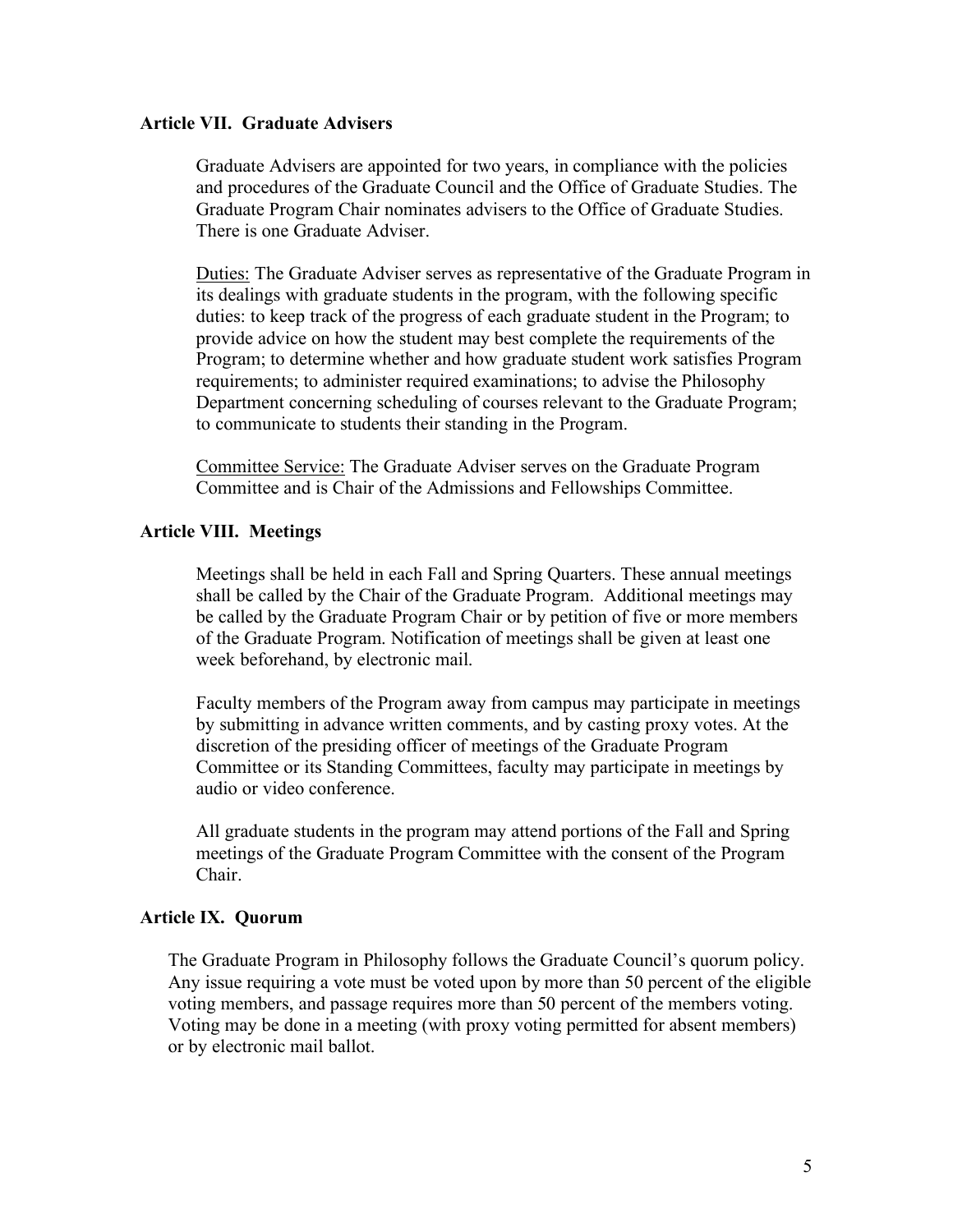#### **Article VII. Graduate Advisers**

Graduate Advisers are appointed for two years, in compliance with the policies and procedures of the Graduate Council and the Office of Graduate Studies. The Graduate Program Chair nominates advisers to the Office of Graduate Studies. There is one Graduate Adviser.

Duties: The Graduate Adviser serves as representative of the Graduate Program in its dealings with graduate students in the program, with the following specific duties: to keep track of the progress of each graduate student in the Program; to provide advice on how the student may best complete the requirements of the Program; to determine whether and how graduate student work satisfies Program requirements; to administer required examinations; to advise the Philosophy Department concerning scheduling of courses relevant to the Graduate Program; to communicate to students their standing in the Program.

Committee Service: The Graduate Adviser serves on the Graduate Program Committee and is Chair of the Admissions and Fellowships Committee.

#### **Article VIII. Meetings**

Meetings shall be held in each Fall and Spring Quarters. These annual meetings shall be called by the Chair of the Graduate Program. Additional meetings may be called by the Graduate Program Chair or by petition of five or more members of the Graduate Program. Notification of meetings shall be given at least one week beforehand, by electronic mail.

Faculty members of the Program away from campus may participate in meetings by submitting in advance written comments, and by casting proxy votes. At the discretion of the presiding officer of meetings of the Graduate Program Committee or its Standing Committees, faculty may participate in meetings by audio or video conference.

All graduate students in the program may attend portions of the Fall and Spring meetings of the Graduate Program Committee with the consent of the Program Chair.

## **Article IX. Quorum**

The Graduate Program in Philosophy follows the Graduate Council's quorum policy. Any issue requiring a vote must be voted upon by more than 50 percent of the eligible voting members, and passage requires more than 50 percent of the members voting. Voting may be done in a meeting (with proxy voting permitted for absent members) or by electronic mail ballot.